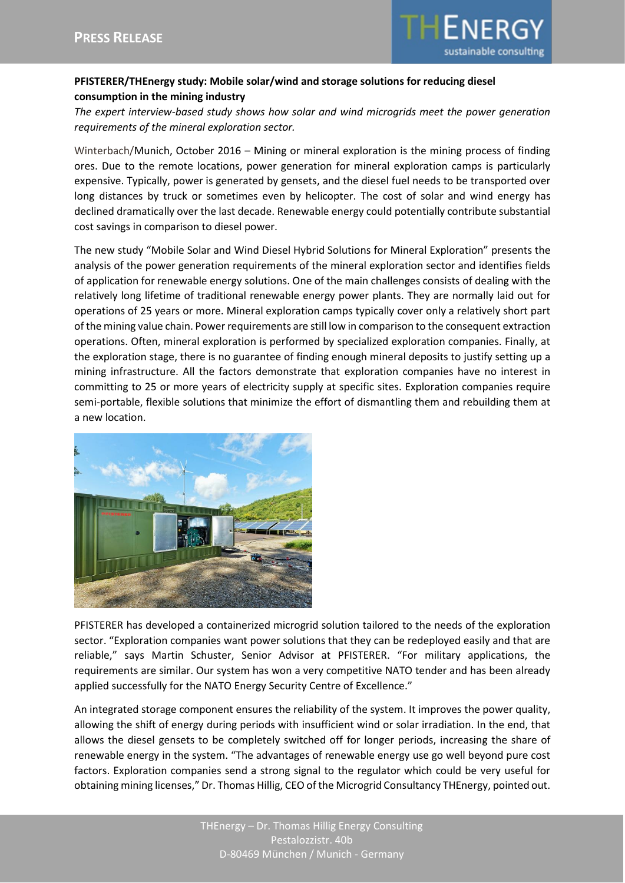

## **PFISTERER/THEnergy study: Mobile solar/wind and storage solutions for reducing diesel consumption in the mining industry**

*The expert interview-based study shows how solar and wind microgrids meet the power generation requirements of the mineral exploration sector.*

Winterbach/Munich, October 2016 – Mining or mineral exploration is the mining process of finding ores. Due to the remote locations, power generation for mineral exploration camps is particularly expensive. Typically, power is generated by gensets, and the diesel fuel needs to be transported over long distances by truck or sometimes even by helicopter. The cost of solar and wind energy has declined dramatically over the last decade. Renewable energy could potentially contribute substantial cost savings in comparison to diesel power.

The new study "Mobile Solar and Wind Diesel Hybrid Solutions for Mineral Exploration" presents the analysis of the power generation requirements of the mineral exploration sector and identifies fields of application for renewable energy solutions. One of the main challenges consists of dealing with the relatively long lifetime of traditional renewable energy power plants. They are normally laid out for operations of 25 years or more. Mineral exploration camps typically cover only a relatively short part of the mining value chain. Power requirements are still low in comparison to the consequent extraction operations. Often, mineral exploration is performed by specialized exploration companies. Finally, at the exploration stage, there is no guarantee of finding enough mineral deposits to justify setting up a mining infrastructure. All the factors demonstrate that exploration companies have no interest in committing to 25 or more years of electricity supply at specific sites. Exploration companies require semi-portable, flexible solutions that minimize the effort of dismantling them and rebuilding them at a new location.



PFISTERER has developed a containerized microgrid solution tailored to the needs of the exploration sector. "Exploration companies want power solutions that they can be redeployed easily and that are reliable," says Martin Schuster, Senior Advisor at PFISTERER. "For military applications, the requirements are similar. Our system has won a very competitive NATO tender and has been already applied successfully for the NATO Energy Security Centre of Excellence."

An integrated storage component ensures the reliability of the system. It improves the power quality, allowing the shift of energy during periods with insufficient wind or solar irradiation. In the end, that allows the diesel gensets to be completely switched off for longer periods, increasing the share of renewable energy in the system. "The advantages of renewable energy use go well beyond pure cost factors. Exploration companies send a strong signal to the regulator which could be very useful for obtaining mining licenses," Dr. Thomas Hillig, CEO of the Microgrid Consultancy THEnergy, pointed out.